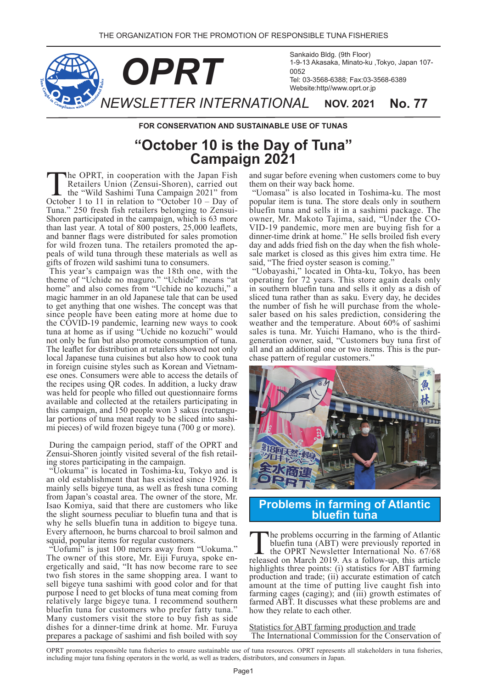

**FOR CONSERVATION AND SUSTAINABLE USE OF TUNAS** 

## "October 10 is the Day of Tuna" **2021 Campaign**

The OPRT, in cooperation with the Japan Fish<br>Retailers Union (Zensui-Shoren), carried out<br>the "Wild Sashimi Tuna Campaign 2021" from<br>October 1 to 11 in relation to "October 10 – Day of Retailers Union (Zensui-Shoren), carried out October 1 to 11 in relation to "October  $10 - Day$  of Shoren participated in the campaign, which is 63 more Tuna." 250 fresh fish retailers belonging to Zensuithan last year. A total of  $800$  posters,  $25,000$  leaflets, and banner flags were distributed for sales promotion<br>for wild frozen tuna. The retailers promoted the appeals of wild tuna through these materials as well as gifts of frozen wild sashimi tuna to consumers.

This year's campaign was the 18th one, with the theme of "Uchide no maguro." "Uchide" means "at home" and also comes from "Uchide no kozuchi," a magic hammer in an old Japanese tale that can be used to get anything that one wishes. The concept was that since people have been eating more at home due to the COVID-19 pandemic, learning new ways to cook tuna at home as if using "Uchide no kozuchi" would not only be fun but also promote consumption of tuna. The leaflet for distribution at retailers showed not only local Japanese tuna cuisines but also how to cook tuna in foreign cuisine styles such as Korean and Vietnamese ones. Consumers were able to access the details of the recipes using QR codes. In addition, a lucky draw was held for people who filled out questionnaire forms available and collected at the retailers participating in mi pieces) of wild frozen bigeye tuna  $(700 \text{ g or more})$ . lar portions of tuna meat ready to be sliced into sashithis campaign, and 150 people won 3 sakus (rectangu-

During the campaign period, staff of the OPRT and Zensui-Shoren jointly visited several of the fish retailing stores participating in the campaign.

"Uokuma" is located in Toshima-ku, Tokyo and is an old establishment that has existed since 1926. It mainly sells bigeye tuna, as well as fresh tuna coming from Japan's coastal area. The owner of the store, Mr. Isao Komiya, said that there are customers who like the slight sourness peculiar to bluefin tuna and that is why he sells bluefin tuna in addition to bigeye tuna. Every afternoon, he burns charcoal to broil salmon and squid, popular items for regular customers.

"Uofumi" is just 100 meters away from "Uokuma."<br>The owner of this store, Mr. Eiji Furuya, spoke energetically and said, "It has now become rare to see two fish stores in the same shopping area. I want to sell bigeye tuna sashimi with good color and for that purpose I need to get blocks of tuna meat coming from relatively large bigeye tuna. I recommend southern bluefin tuna for customers who prefer fatty tuna." Many customers visit the store to buy fish as side dishes for a dinner-time drink at home. Mr. Furuya prepares a package of sashimi and fish boiled with soy

and sugar before evening when customers come to buy them on their way back home.

"Uomasa" is also located in Toshima-ku. The most popular item is tuna. The store deals only in southern bluefin tuna and sells it in a sashimi package. The VID-19 pandemic, more men are buying fish for a owner, Mr. Makoto Tajima, said, "Under the COdinner-time drink at home." He sells broiled fish every day and adds fried fish on the day when the fish wholesale market is closed as this gives him extra time. He said, "The fried oyster season is coming."

"Uobayashi," located in Ohta-ku, Tokyo, has been operating for 72 years. This store again deals only in southern bluefin tuna and sells it only as a dish of sliced tuna rather than as saku. Every day, he decides saler based on his sales prediction, considering the the number of fish he will purchase from the wholeweather and the temperature. About  $60\%$  of sashimi generation owner, said, "Customers buy tuna first of sales is tuna. Mr. Yuichi Hamano, who is the thirdall and an additional one or two items. This is the pur-<br>chase pattern of regular customers."



**tuna bluefin Atlantic of farming in Problems**

The problems occurring in the farming of Atlantic bluefin tuna (ABT) were previously reported in the OPRT Newsletter International No. 67/68 released on March 2019. As a follow-up, this article highlights three points: (i) statistics for ABT farming production and trade; (ii) accurate estimation of catch amount at the time of putting live caught fish into farming cages (caging); and  $(iii)$  growth estimates of farmed ABT. It discusses what these problems are and how they relate to each other.

Statistics for ABT farming production and trade The International Commission for the Conservation of

OPRT promotes responsible tuna fisheries to ensure sustainable use of tuna resources. OPRT represents all stakeholders in tuna fisheries, including major tuna fishing operators in the world, as well as traders, distributors, and consumers in Japan.